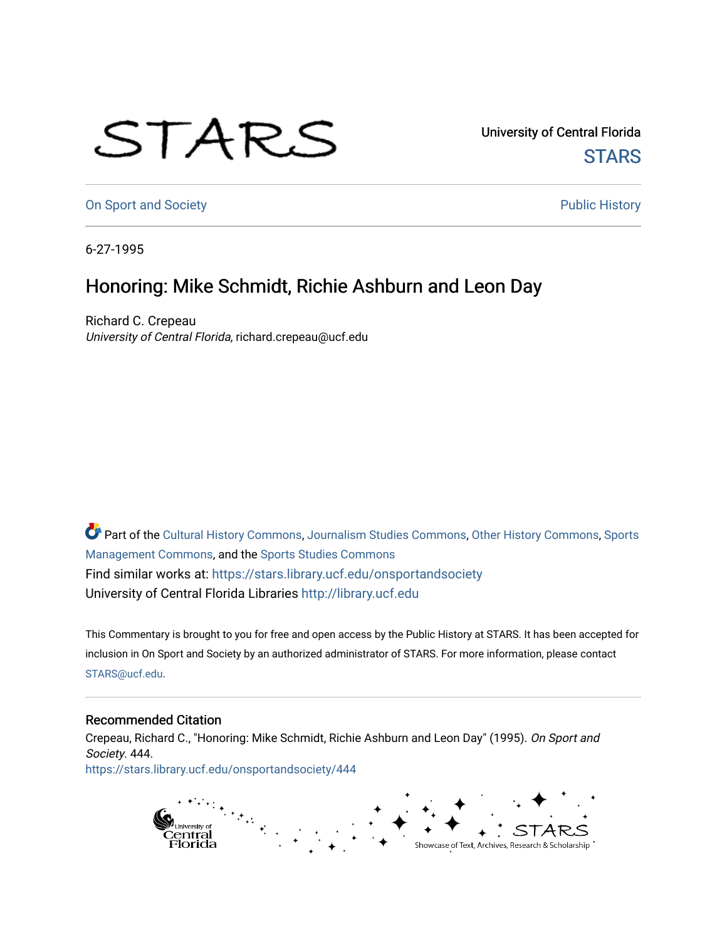## STARS

University of Central Florida **STARS** 

[On Sport and Society](https://stars.library.ucf.edu/onsportandsociety) **Public History** Public History

6-27-1995

## Honoring: Mike Schmidt, Richie Ashburn and Leon Day

Richard C. Crepeau University of Central Florida, richard.crepeau@ucf.edu

Part of the [Cultural History Commons](http://network.bepress.com/hgg/discipline/496?utm_source=stars.library.ucf.edu%2Fonsportandsociety%2F444&utm_medium=PDF&utm_campaign=PDFCoverPages), [Journalism Studies Commons,](http://network.bepress.com/hgg/discipline/333?utm_source=stars.library.ucf.edu%2Fonsportandsociety%2F444&utm_medium=PDF&utm_campaign=PDFCoverPages) [Other History Commons,](http://network.bepress.com/hgg/discipline/508?utm_source=stars.library.ucf.edu%2Fonsportandsociety%2F444&utm_medium=PDF&utm_campaign=PDFCoverPages) [Sports](http://network.bepress.com/hgg/discipline/1193?utm_source=stars.library.ucf.edu%2Fonsportandsociety%2F444&utm_medium=PDF&utm_campaign=PDFCoverPages) [Management Commons](http://network.bepress.com/hgg/discipline/1193?utm_source=stars.library.ucf.edu%2Fonsportandsociety%2F444&utm_medium=PDF&utm_campaign=PDFCoverPages), and the [Sports Studies Commons](http://network.bepress.com/hgg/discipline/1198?utm_source=stars.library.ucf.edu%2Fonsportandsociety%2F444&utm_medium=PDF&utm_campaign=PDFCoverPages) Find similar works at: <https://stars.library.ucf.edu/onsportandsociety> University of Central Florida Libraries [http://library.ucf.edu](http://library.ucf.edu/) 

This Commentary is brought to you for free and open access by the Public History at STARS. It has been accepted for inclusion in On Sport and Society by an authorized administrator of STARS. For more information, please contact [STARS@ucf.edu](mailto:STARS@ucf.edu).

## Recommended Citation

Crepeau, Richard C., "Honoring: Mike Schmidt, Richie Ashburn and Leon Day" (1995). On Sport and Society. 444. [https://stars.library.ucf.edu/onsportandsociety/444](https://stars.library.ucf.edu/onsportandsociety/444?utm_source=stars.library.ucf.edu%2Fonsportandsociety%2F444&utm_medium=PDF&utm_campaign=PDFCoverPages)

> runversny or<br>Central<br>Florida Showcase of Text, Archives, Research & Scholarship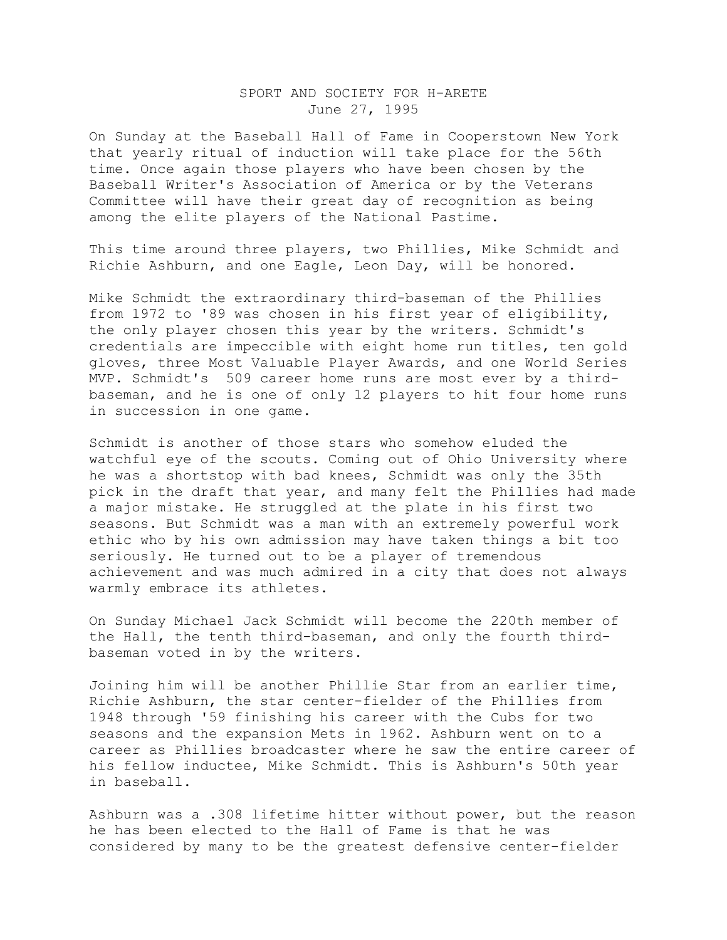## SPORT AND SOCIETY FOR H-ARETE June 27, 1995

On Sunday at the Baseball Hall of Fame in Cooperstown New York that yearly ritual of induction will take place for the 56th time. Once again those players who have been chosen by the Baseball Writer's Association of America or by the Veterans Committee will have their great day of recognition as being among the elite players of the National Pastime.

This time around three players, two Phillies, Mike Schmidt and Richie Ashburn, and one Eagle, Leon Day, will be honored.

Mike Schmidt the extraordinary third-baseman of the Phillies from 1972 to '89 was chosen in his first year of eligibility, the only player chosen this year by the writers. Schmidt's credentials are impeccible with eight home run titles, ten gold gloves, three Most Valuable Player Awards, and one World Series MVP. Schmidt's 509 career home runs are most ever by a thirdbaseman, and he is one of only 12 players to hit four home runs in succession in one game.

Schmidt is another of those stars who somehow eluded the watchful eye of the scouts. Coming out of Ohio University where he was a shortstop with bad knees, Schmidt was only the 35th pick in the draft that year, and many felt the Phillies had made a major mistake. He struggled at the plate in his first two seasons. But Schmidt was a man with an extremely powerful work ethic who by his own admission may have taken things a bit too seriously. He turned out to be a player of tremendous achievement and was much admired in a city that does not always warmly embrace its athletes.

On Sunday Michael Jack Schmidt will become the 220th member of the Hall, the tenth third-baseman, and only the fourth thirdbaseman voted in by the writers.

Joining him will be another Phillie Star from an earlier time, Richie Ashburn, the star center-fielder of the Phillies from 1948 through '59 finishing his career with the Cubs for two seasons and the expansion Mets in 1962. Ashburn went on to a career as Phillies broadcaster where he saw the entire career of his fellow inductee, Mike Schmidt. This is Ashburn's 50th year in baseball.

Ashburn was a .308 lifetime hitter without power, but the reason he has been elected to the Hall of Fame is that he was considered by many to be the greatest defensive center-fielder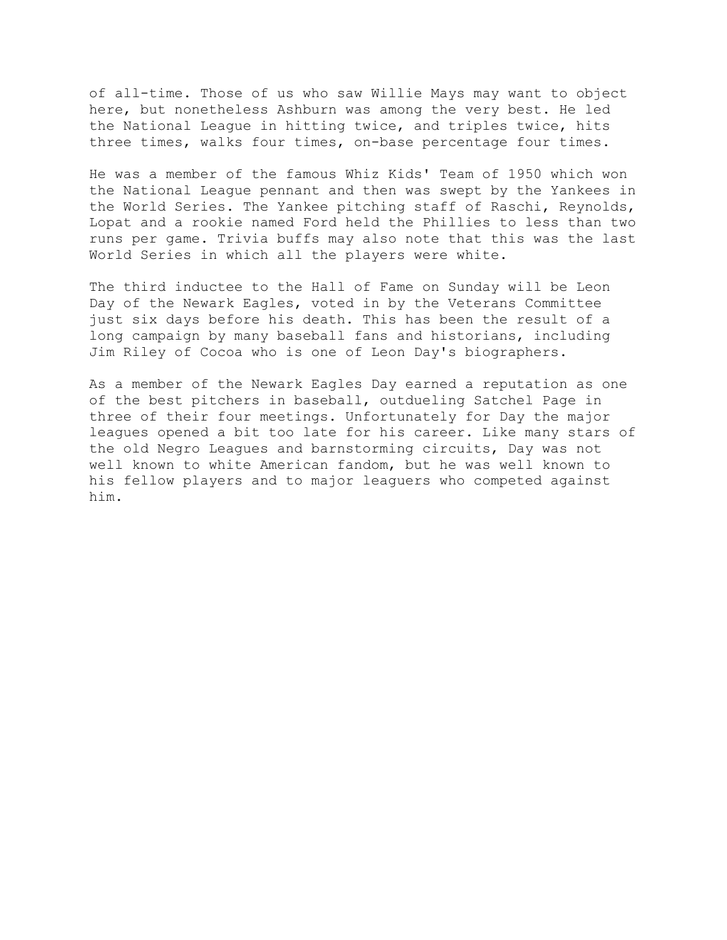of all-time. Those of us who saw Willie Mays may want to object here, but nonetheless Ashburn was among the very best. He led the National League in hitting twice, and triples twice, hits three times, walks four times, on-base percentage four times.

He was a member of the famous Whiz Kids' Team of 1950 which won the National League pennant and then was swept by the Yankees in the World Series. The Yankee pitching staff of Raschi, Reynolds, Lopat and a rookie named Ford held the Phillies to less than two runs per game. Trivia buffs may also note that this was the last World Series in which all the players were white.

The third inductee to the Hall of Fame on Sunday will be Leon Day of the Newark Eagles, voted in by the Veterans Committee just six days before his death. This has been the result of a long campaign by many baseball fans and historians, including Jim Riley of Cocoa who is one of Leon Day's biographers.

As a member of the Newark Eagles Day earned a reputation as one of the best pitchers in baseball, outdueling Satchel Page in three of their four meetings. Unfortunately for Day the major leagues opened a bit too late for his career. Like many stars of the old Negro Leagues and barnstorming circuits, Day was not well known to white American fandom, but he was well known to his fellow players and to major leaguers who competed against him.